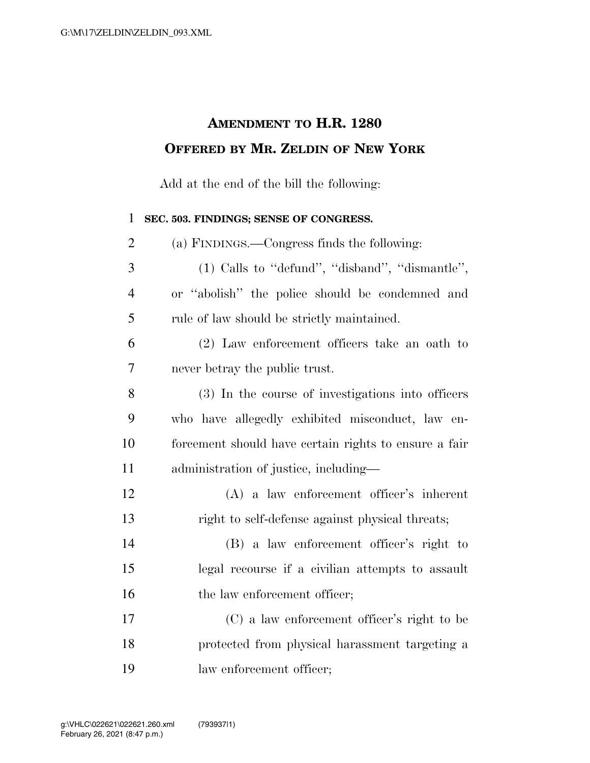## **AMENDMENT TO H.R. 1280 OFFERED BY MR. ZELDIN OF NEW YORK**

Add at the end of the bill the following:

## **SEC. 503. FINDINGS; SENSE OF CONGRESS.**

| $\overline{2}$ | (a) FINDINGS.—Congress finds the following:           |
|----------------|-------------------------------------------------------|
| 3              | $(1)$ Calls to "defund", "disband", "dismantle",      |
| $\overline{4}$ | or "abolish" the police should be condemned and       |
| 5              | rule of law should be strictly maintained.            |
| 6              | (2) Law enforcement officers take an oath to          |
| 7              | never betray the public trust.                        |
| 8              | (3) In the course of investigations into officers     |
| 9              | who have allegedly exhibited misconduct, law en-      |
| 10             | forcement should have certain rights to ensure a fair |
| 11             | administration of justice, including-                 |
| 12             | $(A)$ a law enforcement officer's inherent            |
| 13             | right to self-defense against physical threats;       |
| 14             | (B) a law enforcement officer's right to              |
| 15             | legal recourse if a civilian attempts to assault      |
| 16             | the law enforcement officer;                          |
| 17             | (C) a law enforcement officer's right to be           |
| 18             | protected from physical harassment targeting a        |
| 19             | law enforcement officer;                              |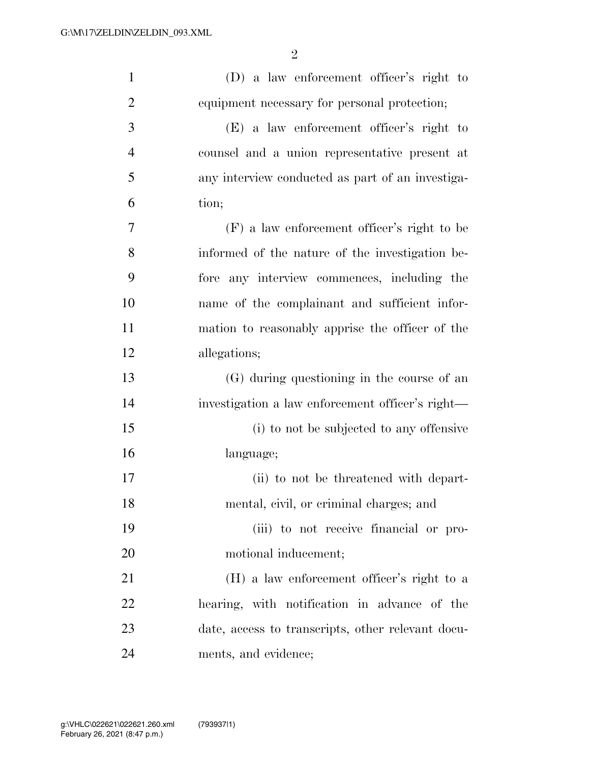| $\mathbf{1}$   | (D) a law enforcement officer's right to          |
|----------------|---------------------------------------------------|
| $\overline{2}$ | equipment necessary for personal protection;      |
| 3              | (E) a law enforcement officer's right to          |
| $\overline{4}$ | counsel and a union representative present at     |
| 5              | any interview conducted as part of an investiga-  |
| 6              | tion;                                             |
| 7              | (F) a law enforcement officer's right to be       |
| 8              | informed of the nature of the investigation be-   |
| 9              | fore any interview commences, including the       |
| 10             | name of the complainant and sufficient infor-     |
| 11             | mation to reasonably apprise the officer of the   |
| 12             | allegations;                                      |
| 13             | (G) during questioning in the course of an        |
| 14             | investigation a law enforcement officer's right—  |
| 15             | (i) to not be subjected to any offensive          |
| 16             | language;                                         |
| 17             | (ii) to not be threatened with depart-            |
| 18             | mental, civil, or criminal charges; and           |
| 19             | (iii) to not receive financial or pro-            |
| 20             | motional inducement;                              |
| 21             | (H) a law enforcement officer's right to a        |
| 22             | hearing, with notification in advance of the      |
| 23             | date, access to transcripts, other relevant docu- |
| 24             | ments, and evidence;                              |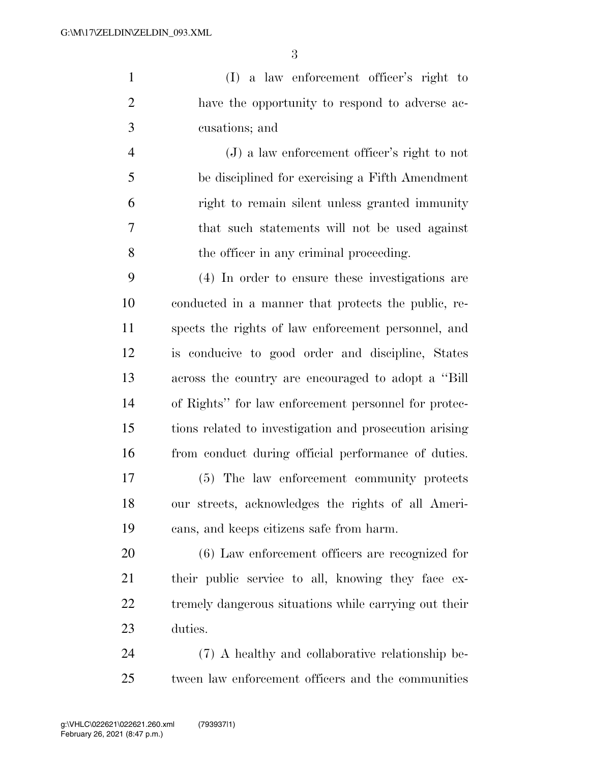(I) a law enforcement officer's right to have the opportunity to respond to adverse ac-cusations; and

 (J) a law enforcement officer's right to not be disciplined for exercising a Fifth Amendment right to remain silent unless granted immunity that such statements will not be used against the officer in any criminal proceeding.

 (4) In order to ensure these investigations are conducted in a manner that protects the public, re- spects the rights of law enforcement personnel, and is conducive to good order and discipline, States across the country are encouraged to adopt a ''Bill of Rights'' for law enforcement personnel for protec- tions related to investigation and prosecution arising from conduct during official performance of duties.

 (5) The law enforcement community protects our streets, acknowledges the rights of all Ameri-cans, and keeps citizens safe from harm.

 (6) Law enforcement officers are recognized for their public service to all, knowing they face ex- tremely dangerous situations while carrying out their duties.

 (7) A healthy and collaborative relationship be-tween law enforcement officers and the communities